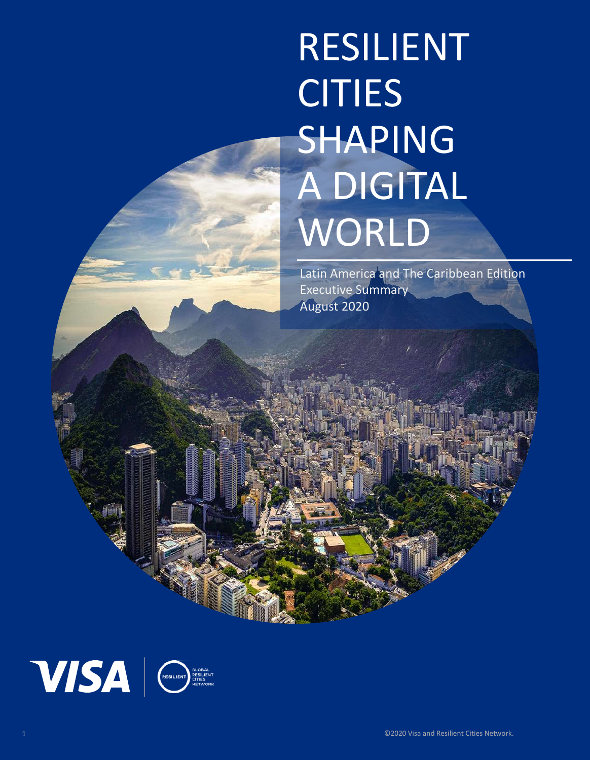# RESILIENT **CITIES** SHAPING A DIGITAL WORLD

Latin America and The Caribbean Edition Executive Summary August 2020

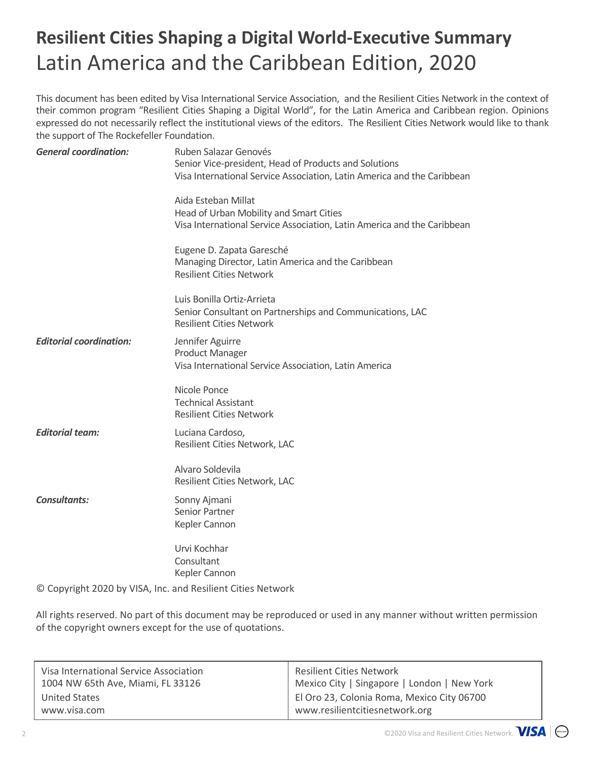# **Resilient Cities Shaping a Digital World-Executive Summary** Latin America and the Caribbean Edition, 2020

This document has been edited by Visa International Service Association, and the Resilient Cities Network in the context of their common program "Resilient Cities Shaping a Digital World", for the Latin America and Caribbean region. Opinions expressed do not necessarily reflect the institutional views of the editors. The Resilient Cities Network would like to thank the support of The Rockefeller Foundation.

| <b>General coordination:</b>   | Ruben Salazar Genovés<br>Senior Vice-president, Head of Products and Solutions<br>Visa International Service Association, Latin America and the Caribbean |
|--------------------------------|-----------------------------------------------------------------------------------------------------------------------------------------------------------|
|                                | Aida Esteban Millat<br>Head of Urban Mobility and Smart Cities<br>Visa International Service Association, Latin America and the Caribbean                 |
|                                | Eugene D. Zapata Garesché<br>Managing Director, Latin America and the Caribbean<br><b>Resilient Cities Network</b>                                        |
|                                | Luis Bonilla Ortiz-Arrieta<br>Senior Consultant on Partnerships and Communications, LAC<br><b>Resilient Cities Network</b>                                |
| <b>Editorial coordination:</b> | Jennifer Aguirre<br><b>Product Manager</b><br>Visa International Service Association, Latin America                                                       |
|                                | Nicole Ponce<br><b>Technical Assistant</b><br><b>Resilient Cities Network</b>                                                                             |
| <b>Editorial team:</b>         | Luciana Cardoso,<br>Resilient Cities Network, LAC                                                                                                         |
|                                | Alvaro Soldevila<br>Resilient Cities Network, LAC                                                                                                         |
| <b>Consultants:</b>            | Sonny Ajmani<br>Senior Partner<br>Kepler Cannon                                                                                                           |
|                                | Urvi Kochhar<br>Consultant<br>Kepler Cannon                                                                                                               |

© Copyright 2020 by VISA, Inc. and Resilient Cities Network

All rights reserved. No part of this document may be reproduced or used in any manner without written permission of the copyright owners except for the use of quotations.

| Visa International Service Association | <b>Resilient Cities Network</b>               |
|----------------------------------------|-----------------------------------------------|
| 1004 NW 65th Ave, Miami, FL 33126      | ' Mexico City   Singapore   London   New York |
| <b>United States</b>                   | El Oro 23, Colonia Roma, Mexico City 06700    |
| www.visa.com                           | www.resilientcitiesnetwork.org                |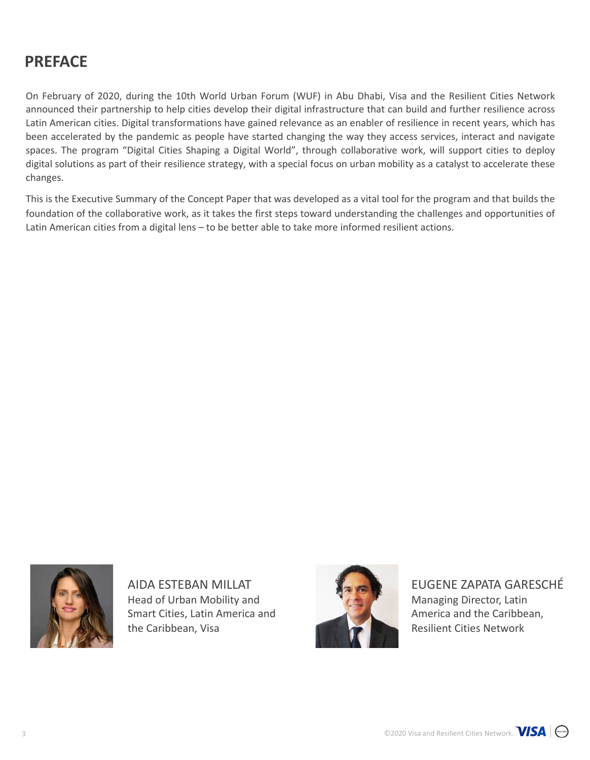## **PREFACE**

On February of 2020, during the 10th World Urban Forum (WUF) in Abu Dhabi, Visa and the Resilient Cities Network announced their partnership to help cities develop their digital infrastructure that can build and further resilience across Latin American cities. Digital transformations have gained relevance as an enabler of resilience in recent years, which has been accelerated by the pandemic as people have started changing the way they access services, interact and navigate spaces. The program "Digital Cities Shaping a Digital World", through collaborative work, will support cities to deploy digital solutions as part of their resilience strategy, with a special focus on urban mobility as a catalyst to accelerate these changes.

This is the Executive Summary of the Concept Paper that was developed as a vital tool for the program and that builds the foundation of the collaborative work, as it takes the first steps toward understanding the challenges and opportunities of Latin American cities from a digital lens – to be better able to take more informed resilient actions.



AIDA ESTEBAN MILLAT Head of Urban Mobility and Smart Cities, Latin America and the Caribbean, Visa



#### EUGENE ZAPATA GARESCHÉ Managing Director, Latin America and the Caribbean, Resilient Cities Network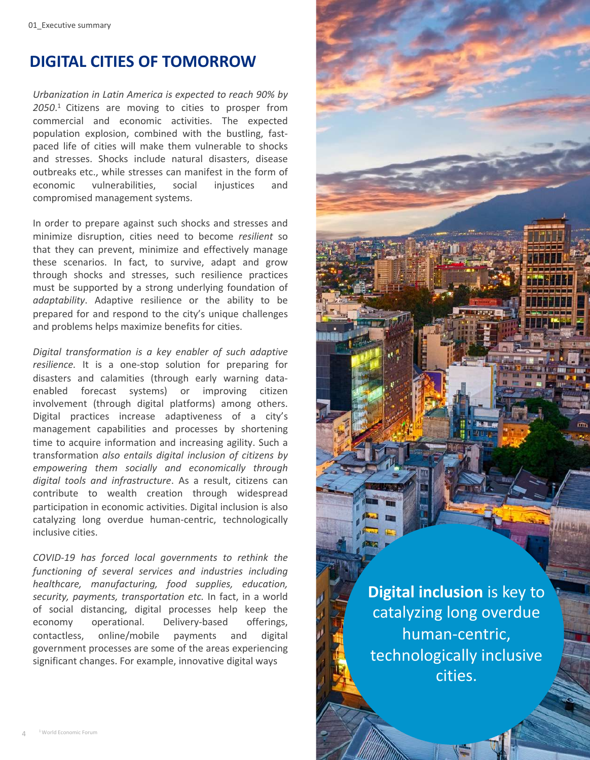### **DIGITAL CITIES OF TOMORROW**

*Urbanization in Latin America is expected to reach 90% by 2050*. <sup>1</sup> Citizens are moving to cities to prosper from commercial and economic activities. The expected population explosion, combined with the bustling, fastpaced life of cities will make them vulnerable to shocks and stresses. Shocks include natural disasters, disease outbreaks etc., while stresses can manifest in the form of economic vulnerabilities, social injustices and compromised management systems.

In order to prepare against such shocks and stresses and minimize disruption, cities need to become *resilient* so that they can prevent, minimize and effectively manage these scenarios. In fact, to survive, adapt and grow through shocks and stresses, such resilience practices must be supported by a strong underlying foundation of *adaptability*. Adaptive resilience or the ability to be prepared for and respond to the city's unique challenges and problems helps maximize benefits for cities.

*Digital transformation is a key enabler of such adaptive resilience.* It is a one-stop solution for preparing for disasters and calamities (through early warning dataenabled forecast systems) or improving citizen involvement (through digital platforms) among others. Digital practices increase adaptiveness of a city's management capabilities and processes by shortening time to acquire information and increasing agility. Such a transformation *also entails digital inclusion of citizens by empowering them socially and economically through digital tools and infrastructure*. As a result, citizens can contribute to wealth creation through widespread participation in economic activities. Digital inclusion is also catalyzing long overdue human-centric, technologically inclusive cities.

*COVID-19 has forced local governments to rethink the functioning of several services and industries including healthcare, manufacturing, food supplies, education, security, payments, transportation etc.* In fact, in a world of social distancing, digital processes help keep the economy operational. Delivery-based offerings, contactless, online/mobile payments and digital government processes are some of the areas experiencing significant changes. For example, innovative digital ways

**Digital inclusion** is key to catalyzing long overdue human-centric, technologically inclusive cities.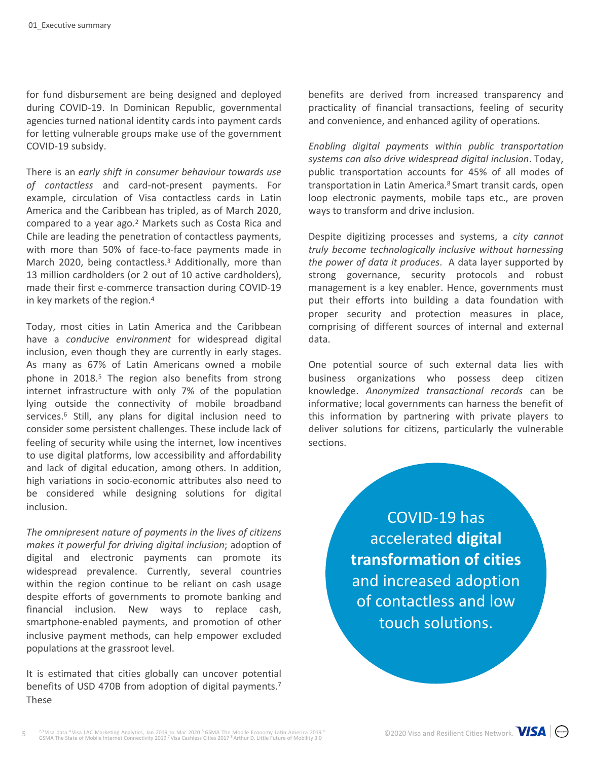for fund disbursement are being designed and deployed during COVID-19. In Dominican Republic, governmental agencies turned national identity cards into payment cards for letting vulnerable groups make use of the government COVID-19 subsidy.

There is an *early shift in consumer behaviour towards use of contactless* and card-not-present payments. For example, circulation of Visa contactless cards in Latin America and the Caribbean has tripled, as of March 2020, compared to a year ago. <sup>2</sup> Markets such as Costa Rica and Chile are leading the penetration of contactless payments, with more than 50% of face-to-face payments made in March 2020, being contactless.<sup>3</sup> Additionally, more than 13 million cardholders (or 2 out of 10 active cardholders), made their first e-commerce transaction during COVID-19 in key markets of the region. 4

Today, most cities in Latin America and the Caribbean have a *conducive environment* for widespread digital inclusion, even though they are currently in early stages. As many as 67% of Latin Americans owned a mobile phone in 2018. <sup>5</sup> The region also benefits from strong internet infrastructure with only 7% of the population lying outside the connectivity of mobile broadband services. <sup>6</sup> Still, any plans for digital inclusion need to consider some persistent challenges. These include lack of feeling of security while using the internet, low incentives to use digital platforms, low accessibility and affordability and lack of digital education, among others. In addition, high variations in socio-economic attributes also need to be considered while designing solutions for digital inclusion.

*The omnipresent nature of payments in the lives of citizens makes it powerful for driving digital inclusion*; adoption of digital and electronic payments can promote its widespread prevalence. Currently, several countries within the region continue to be reliant on cash usage despite efforts of governments to promote banking and financial inclusion. New ways to replace cash, smartphone-enabled payments, and promotion of other inclusive payment methods, can help empower excluded populations at the grassroot level.

It is estimated that cities globally can uncover potential benefits of USD 470B from adoption of digital payments.<sup>7</sup> These

benefits are derived from increased transparency and practicality of financial transactions, feeling of security and convenience, and enhanced agility of operations.

*Enabling digital payments within public transportation systems can also drive widespread digital inclusion*. Today, public transportation accounts for 45% of all modes of transportation in Latin America. <sup>8</sup> Smart transit cards, open loop electronic payments, mobile taps etc., are proven ways to transform and drive inclusion.

Despite digitizing processes and systems, a *city cannot truly become technologically inclusive without harnessing the power of data it produces*. A data layer supported by strong governance, security protocols and robust management is a key enabler. Hence, governments must put their efforts into building a data foundation with proper security and protection measures in place, comprising of different sources of internal and external data.

One potential source of such external data lies with business organizations who possess deep citizen knowledge. *Anonymized transactional records* can be informative; local governments can harness the benefit of this information by partnering with private players to deliver solutions for citizens, particularly the vulnerable sections.

> COVID-19 has accelerated **digital transformation of cities**  and increased adoption of contactless and low touch solutions.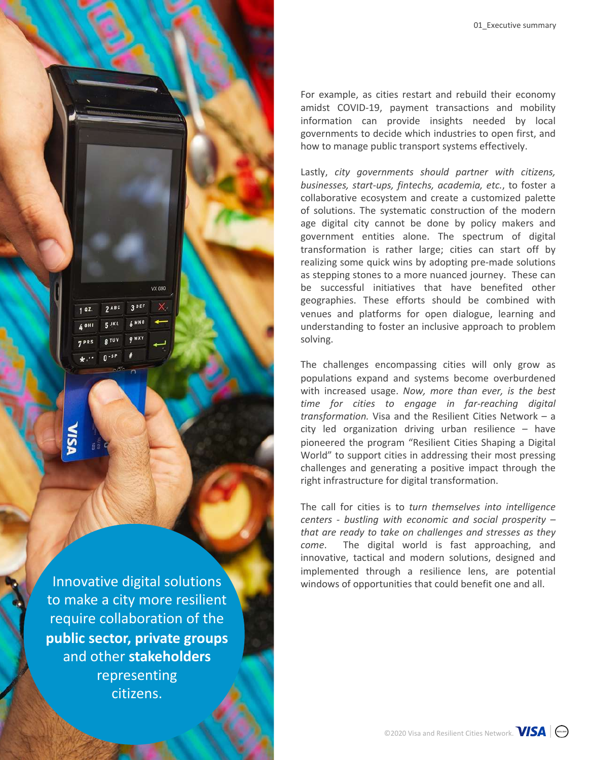to make a city more resilient require collaboration of the **public sector, private groups**  and other **stakeholders** representing citizens.

VX 690

For example, as cities restart and rebuild their economy amidst COVID-19, payment transactions and mobility information can provide insights needed by local governments to decide which industries to open first, and how to manage public transport systems effectively.

Lastly, *city governments should partner with citizens, businesses, start-ups, fintechs, academia, etc.*, to foster a collaborative ecosystem and create a customized palette of solutions. The systematic construction of the modern age digital city cannot be done by policy makers and government entities alone. The spectrum of digital transformation is rather large; cities can start off by realizing some quick wins by adopting pre-made solutions as stepping stones to a more nuanced journey. These can be successful initiatives that have benefited other geographies. These efforts should be combined with venues and platforms for open dialogue, learning and understanding to foster an inclusive approach to problem solving.

The challenges encompassing cities will only grow as populations expand and systems become overburdened with increased usage. *Now, more than ever, is the best time for cities to engage in far-reaching digital transformation.* Visa and the Resilient Cities Network – a city led organization driving urban resilience – have pioneered the program "Resilient Cities Shaping a Digital World" to support cities in addressing their most pressing challenges and generating a positive impact through the right infrastructure for digital transformation.

The call for cities is to *turn themselves into intelligence centers - bustling with economic and social prosperity – that are ready to take on challenges and stresses as they come*. The digital world is fast approaching, and innovative, tactical and modern solutions, designed and implemented through a resilience lens, are potential Innovative digital solutions windows of opportunities that could benefit one and all.